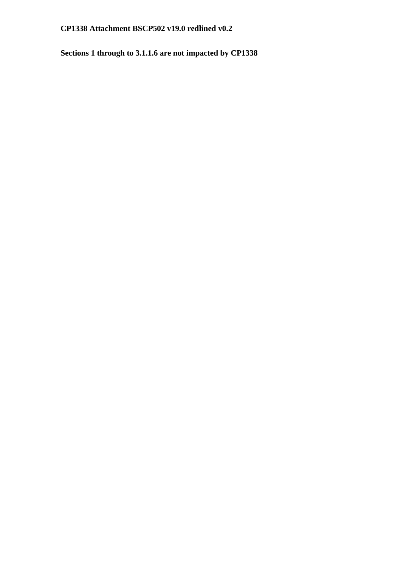**Sections 1 through to 3.1.1.6 are not impacted by CP1338**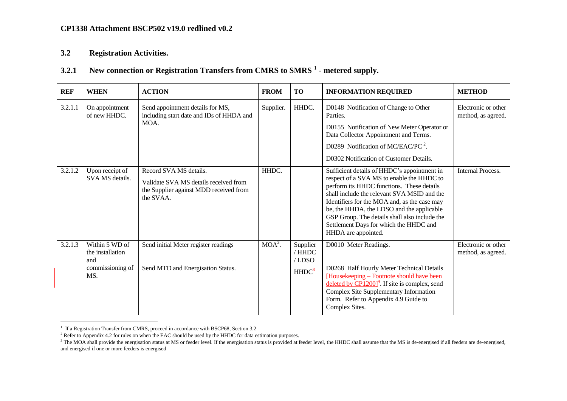## **3.2 Registration Activities.**

# **3.2.1 New connection or Registration Transfers from CMRS to SMRS <sup>1</sup> - metered supply.**

| <b>REF</b> | <b>WHEN</b>                                                          | <b>ACTION</b>                                                                                                          | <b>FROM</b> | <b>TO</b>                                        | <b>INFORMATION REQUIRED</b>                                                                                                                                                                                                                                                                                                                                                                         | <b>METHOD</b>                             |
|------------|----------------------------------------------------------------------|------------------------------------------------------------------------------------------------------------------------|-------------|--------------------------------------------------|-----------------------------------------------------------------------------------------------------------------------------------------------------------------------------------------------------------------------------------------------------------------------------------------------------------------------------------------------------------------------------------------------------|-------------------------------------------|
| 3.2.1.1    | On appointment<br>of new HHDC.                                       | Send appointment details for MS,<br>including start date and IDs of HHDA and<br>MOA.                                   | Supplier.   | HHDC.                                            | D0148 Notification of Change to Other<br>Parties.<br>D0155 Notification of New Meter Operator or<br>Data Collector Appointment and Terms.<br>D0289 Notification of MC/EAC/PC $^2$ .<br>D0302 Notification of Customer Details.                                                                                                                                                                      | Electronic or other<br>method, as agreed. |
| 3.2.1.2    | Upon receipt of<br>SVA MS details.                                   | Record SVA MS details.<br>Validate SVA MS details received from<br>the Supplier against MDD received from<br>the SVAA. | HHDC.       |                                                  | Sufficient details of HHDC's appointment in<br>respect of a SVA MS to enable the HHDC to<br>perform its HHDC functions. These details<br>shall include the relevant SVA MSID and the<br>Identifiers for the MOA and, as the case may<br>be, the HHDA, the LDSO and the applicable<br>GSP Group. The details shall also include the<br>Settlement Days for which the HHDC and<br>HHDA are appointed. | <b>Internal Process.</b>                  |
| 3.2.1.3    | Within 5 WD of<br>the installation<br>and<br>commissioning of<br>MS. | Send initial Meter register readings<br>Send MTD and Energisation Status.                                              | $MOA^3$ .   | Supplier<br>/ HHDC<br>/LDSO<br>HHDC <sup>8</sup> | D0010 Meter Readings.<br>D0268 Half Hourly Meter Technical Details<br>[Housekeeping – Footnote should have been<br>deleted by $\text{CP}1200\text{]}^{4}$ . If site is complex, send<br>Complex Site Supplementary Information<br>Form. Refer to Appendix 4.9 Guide to<br>Complex Sites.                                                                                                            | Electronic or other<br>method, as agreed. |

<span id="page-1-0"></span> 1 If a Registration Transfer from CMRS, proceed in accordance with BSCP68, Section 3.2

<sup>&</sup>lt;sup>2</sup> Refer to Appendix 4.2 for rules on when the EAC should be used by the HHDC for data estimation purposes.

<sup>&</sup>lt;sup>3</sup> The MOA shall provide the energisation status at MS or feeder level. If the energisation status is provided at feeder level, the HHDC shall assume that the MS is de-energised if all feeders are de-energised, and energised if one or more feeders is energised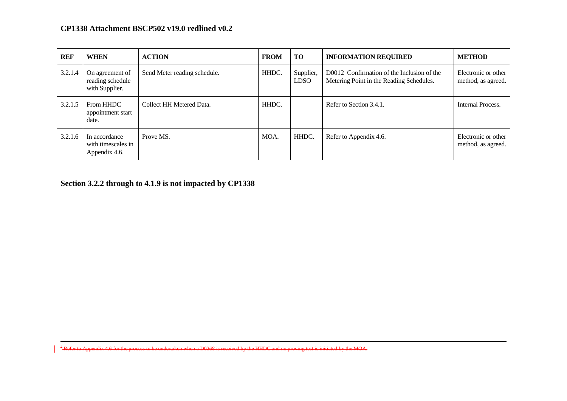| <b>REF</b> | <b>WHEN</b>                                           | <b>ACTION</b>                | <b>FROM</b> | <b>TO</b>                | <b>INFORMATION REQUIRED</b>                                                            | <b>METHOD</b>                             |
|------------|-------------------------------------------------------|------------------------------|-------------|--------------------------|----------------------------------------------------------------------------------------|-------------------------------------------|
| 3.2.1.4    | On agreement of<br>reading schedule<br>with Supplier. | Send Meter reading schedule. | HHDC.       | Supplier,<br><b>LDSO</b> | D0012 Confirmation of the Inclusion of the<br>Metering Point in the Reading Schedules. | Electronic or other<br>method, as agreed. |
| 3.2.1.5    | From HHDC<br>appointment start<br>date.               | Collect HH Metered Data.     | HHDC.       |                          | Refer to Section 3.4.1.                                                                | Internal Process.                         |
| 3.2.1.6    | In accordance<br>with timescales in<br>Appendix 4.6.  | Prove MS.                    | MOA.        | HHDC.                    | Refer to Appendix 4.6.                                                                 | Electronic or other<br>method, as agreed. |

**Section 3.2.2 through to 4.1.9 is not impacted by CP1338**

 $\overline{a}$ 

<sup>4</sup> Refer to Appendix 4.6 for the process to be undertaken when a D0268 is received by the HHDC and no proving test is initiated by the MOA.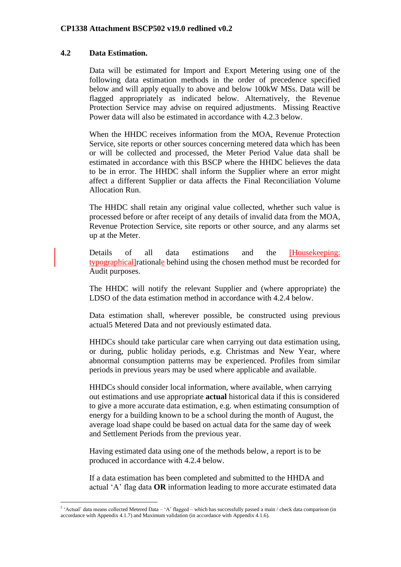## **4.2 Data Estimation.**

1

Data will be estimated for Import and Export Metering using one of the following data estimation methods in the order of precedence specified below and will apply equally to above and below 100kW MSs. Data will be flagged appropriately as indicated below. Alternatively, the Revenue Protection Service may advise on required adjustments. Missing Reactive Power data will also be estimated in accordance with 4.2.3 below.

When the HHDC receives information from the MOA, Revenue Protection Service, site reports or other sources concerning metered data which has been or will be collected and processed, the Meter Period Value data shall be estimated in accordance with this BSCP where the HHDC believes the data to be in error. The HHDC shall inform the Supplier where an error might affect a different Supplier or data affects the Final Reconciliation Volume Allocation Run.

The HHDC shall retain any original value collected, whether such value is processed before or after receipt of any details of invalid data from the MOA, Revenue Protection Service, site reports or other source, and any alarms set up at the Meter.

Details of all data estimations and the [Housekeeping: typographical]rationale behind using the chosen method must be recorded for Audit purposes.

The HHDC will notify the relevant Supplier and (where appropriate) the LDSO of the data estimation method in accordance with 4.2.4 below.

Data estimation shall, wherever possible, be constructed using previous actual5 Metered Data and not previously estimated data.

HHDCs should take particular care when carrying out data estimation using, or during, public holiday periods, e.g. Christmas and New Year, where abnormal consumption patterns may be experienced. Profiles from similar periods in previous years may be used where applicable and available.

HHDCs should consider local information, where available, when carrying out estimations and use appropriate **actual** historical data if this is considered to give a more accurate data estimation, e.g. when estimating consumption of energy for a building known to be a school during the month of August, the average load shape could be based on actual data for the same day of week and Settlement Periods from the previous year.

Having estimated data using one of the methods below, a report is to be produced in accordance with 4.2.4 below.

If a data estimation has been completed and submitted to the HHDA and actual 'A' flag data **OR** information leading to more accurate estimated data

 $5$  'Actual' data means collected Metered Data  $-$  'A' flagged  $-$  which has successfully passed a main / check data comparison (in accordance with Appendix 4.1.7) and Maximum validation (in accordance with Appendix 4.1.6).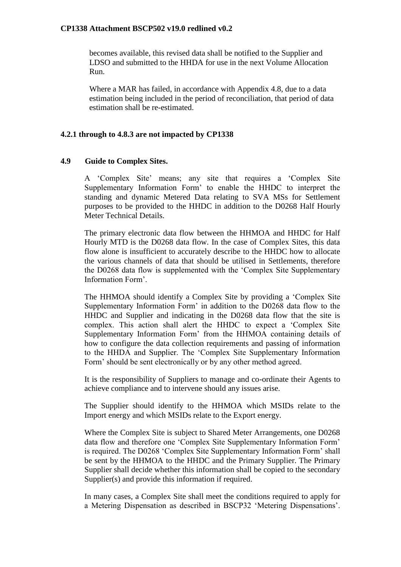becomes available, this revised data shall be notified to the Supplier and LDSO and submitted to the HHDA for use in the next Volume Allocation Run.

Where a MAR has failed, in accordance with Appendix 4.8, due to a data estimation being included in the period of reconciliation, that period of data estimation shall be re-estimated.

#### **4.2.1 through to 4.8.3 are not impacted by CP1338**

#### **4.9 Guide to Complex Sites.**

A 'Complex Site' means; any site that requires a 'Complex Site Supplementary Information Form' to enable the HHDC to interpret the standing and dynamic Metered Data relating to SVA MSs for Settlement purposes to be provided to the HHDC in addition to the D0268 Half Hourly Meter Technical Details.

The primary electronic data flow between the HHMOA and HHDC for Half Hourly MTD is the D0268 data flow. In the case of Complex Sites, this data flow alone is insufficient to accurately describe to the HHDC how to allocate the various channels of data that should be utilised in Settlements, therefore the D0268 data flow is supplemented with the 'Complex Site Supplementary Information Form'.

The HHMOA should identify a Complex Site by providing a 'Complex Site Supplementary Information Form' in addition to the D0268 data flow to the HHDC and Supplier and indicating in the D0268 data flow that the site is complex. This action shall alert the HHDC to expect a 'Complex Site Supplementary Information Form' from the HHMOA containing details of how to configure the data collection requirements and passing of information to the HHDA and Supplier. The 'Complex Site Supplementary Information Form' should be sent electronically or by any other method agreed.

It is the responsibility of Suppliers to manage and co-ordinate their Agents to achieve compliance and to intervene should any issues arise.

The Supplier should identify to the HHMOA which MSIDs relate to the Import energy and which MSIDs relate to the Export energy.

Where the Complex Site is subject to Shared Meter Arrangements, one D0268 data flow and therefore one 'Complex Site Supplementary Information Form' is required. The D0268 'Complex Site Supplementary Information Form' shall be sent by the HHMOA to the HHDC and the Primary Supplier. The Primary Supplier shall decide whether this information shall be copied to the secondary Supplier(s) and provide this information if required.

In many cases, a Complex Site shall meet the conditions required to apply for a Metering Dispensation as described in BSCP32 'Metering Dispensations'.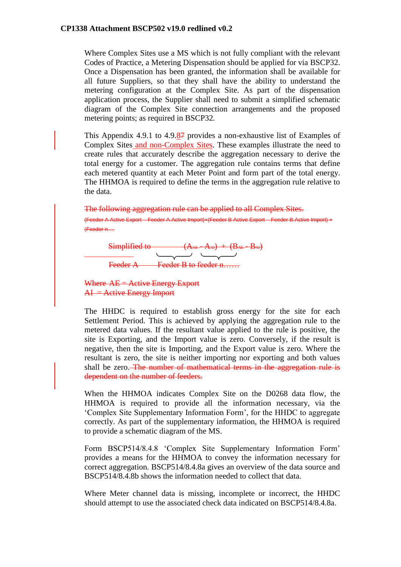Where Complex Sites use a MS which is not fully compliant with the relevant Codes of Practice, a Metering Dispensation should be applied for via BSCP32. Once a Dispensation has been granted, the information shall be available for all future Suppliers, so that they shall have the ability to understand the metering configuration at the Complex Site. As part of the dispensation application process, the Supplier shall need to submit a simplified schematic diagram of the Complex Site connection arrangements and the proposed metering points; as required in BSCP32.

This Appendix 4.9.1 to 4.9.87 provides a non-exhaustive list of Examples of Complex Sites and non-Complex Sites. These examples illustrate the need to create rules that accurately describe the aggregation necessary to derive the total energy for a customer. The aggregation rule contains terms that define each metered quantity at each Meter Point and form part of the total energy. The HHMOA is required to define the terms in the aggregation rule relative to the data.

The following aggregation rule can be applied to all Complex Sites. (Feeder A Active Export – Feeder A Active Import)+(Feeder B Active Export – Feeder B Active Import) + (Feeder n….



Where AE = Active Energy Export  $AI =$  Active Energy Import

The HHDC is required to establish gross energy for the site for each Settlement Period. This is achieved by applying the aggregation rule to the metered data values. If the resultant value applied to the rule is positive, the site is Exporting, and the Import value is zero. Conversely, if the result is negative, then the site is Importing, and the Export value is zero. Where the resultant is zero, the site is neither importing nor exporting and both values shall be zero. The number of mathematical terms in the aggregation rule is dependent on the number of feeders.

When the HHMOA indicates Complex Site on the D0268 data flow, the HHMOA is required to provide all the information necessary, via the 'Complex Site Supplementary Information Form', for the HHDC to aggregate correctly. As part of the supplementary information, the HHMOA is required to provide a schematic diagram of the MS.

Form BSCP514/8.4.8 'Complex Site Supplementary Information Form' provides a means for the HHMOA to convey the information necessary for correct aggregation. BSCP514/8.4.8a gives an overview of the data source and BSCP514/8.4.8b shows the information needed to collect that data.

Where Meter channel data is missing, incomplete or incorrect, the HHDC should attempt to use the associated check data indicated on BSCP514/8.4.8a.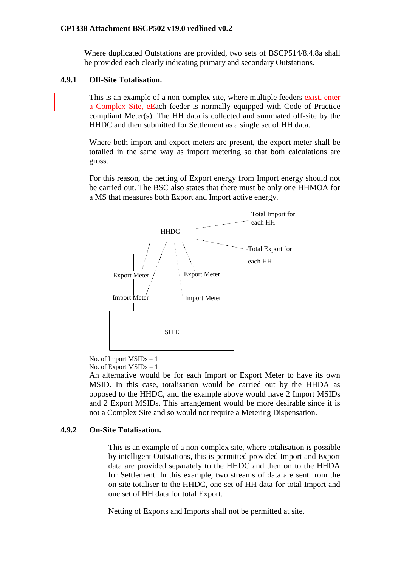Where duplicated Outstations are provided, two sets of BSCP514/8.4.8a shall be provided each clearly indicating primary and secondary Outstations.

#### **4.9.1 Off-Site Totalisation.**

This is an example of a non-complex site, where multiple feeders exist. enter a Complex Site, eEach feeder is normally equipped with Code of Practice compliant Meter(s). The HH data is collected and summated off-site by the HHDC and then submitted for Settlement as a single set of HH data.

Where both import and export meters are present, the export meter shall be totalled in the same way as import metering so that both calculations are gross.

For this reason, the netting of Export energy from Import energy should not be carried out. The BSC also states that there must be only one HHMOA for a MS that measures both Export and Import active energy.



No. of Import  $MSIDs = 1$ No. of Export  $MSIDs = 1$ 

An alternative would be for each Import or Export Meter to have its own MSID. In this case, totalisation would be carried out by the HHDA as opposed to the HHDC, and the example above would have 2 Import MSIDs and 2 Export MSIDs. This arrangement would be more desirable since it is not a Complex Site and so would not require a Metering Dispensation.

#### **4.9.2 On-Site Totalisation.**

This is an example of a non-complex site, where totalisation is possible by intelligent Outstations, this is permitted provided Import and Export data are provided separately to the HHDC and then on to the HHDA for Settlement. In this example, two streams of data are sent from the on-site totaliser to the HHDC, one set of HH data for total Import and one set of HH data for total Export.

Netting of Exports and Imports shall not be permitted at site.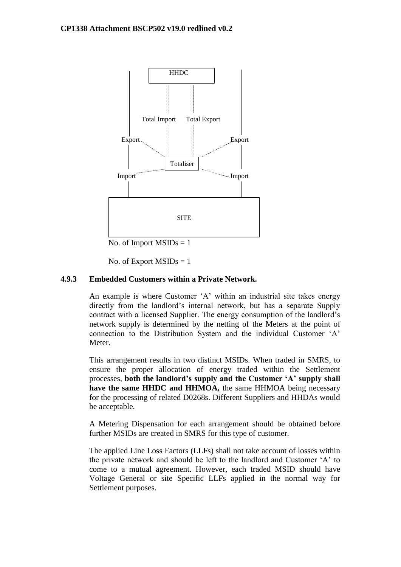

No. of Import  $MSIDs = 1$ 

No. of Export  $MSIDs = 1$ 

# **4.9.3 Embedded Customers within a Private Network.**

An example is where Customer 'A' within an industrial site takes energy directly from the landlord's internal network, but has a separate Supply contract with a licensed Supplier. The energy consumption of the landlord's network supply is determined by the netting of the Meters at the point of connection to the Distribution System and the individual Customer 'A' Meter.

This arrangement results in two distinct MSIDs. When traded in SMRS, to ensure the proper allocation of energy traded within the Settlement processes, **both the landlord's supply and the Customer 'A' supply shall**  have the same HHDC and HHMOA, the same HHMOA being necessary for the processing of related D0268s. Different Suppliers and HHDAs would be acceptable.

A Metering Dispensation for each arrangement should be obtained before further MSIDs are created in SMRS for this type of customer.

The applied Line Loss Factors (LLFs) shall not take account of losses within the private network and should be left to the landlord and Customer 'A' to come to a mutual agreement. However, each traded MSID should have Voltage General or site Specific LLFs applied in the normal way for Settlement purposes.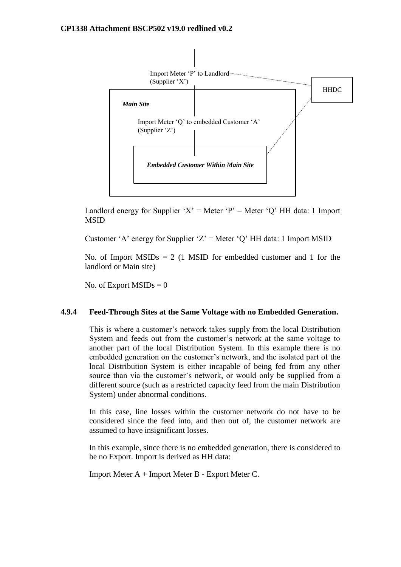

Landlord energy for Supplier 'X' = Meter 'P' – Meter 'O' HH data: 1 Import MSID

Customer 'A' energy for Supplier 'Z' = Meter 'Q' HH data: 1 Import MSID

No. of Import  $MSIDs = 2$  (1 MSID for embedded customer and 1 for the landlord or Main site)

No. of Export  $MSIDs = 0$ 

#### **4.9.4 Feed-Through Sites at the Same Voltage with no Embedded Generation.**

This is where a customer's network takes supply from the local Distribution System and feeds out from the customer's network at the same voltage to another part of the local Distribution System. In this example there is no embedded generation on the customer's network, and the isolated part of the local Distribution System is either incapable of being fed from any other source than via the customer's network, or would only be supplied from a different source (such as a restricted capacity feed from the main Distribution System) under abnormal conditions.

In this case, line losses within the customer network do not have to be considered since the feed into, and then out of, the customer network are assumed to have insignificant losses.

In this example, since there is no embedded generation, there is considered to be no Export. Import is derived as HH data:

Import Meter A + Import Meter B - Export Meter C.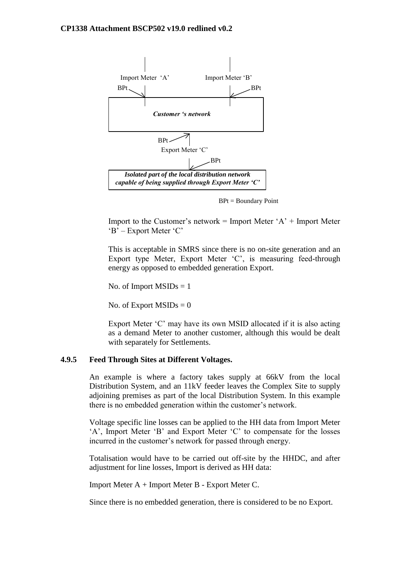

BPt = Boundary Point

Import to the Customer's network = Import Meter ' $A$ ' + Import Meter 'B' – Export Meter 'C'

This is acceptable in SMRS since there is no on-site generation and an Export type Meter, Export Meter 'C', is measuring feed-through energy as opposed to embedded generation Export.

No. of Import  $MSIDs = 1$ 

No. of Export  $MSIDs = 0$ 

Export Meter 'C' may have its own MSID allocated if it is also acting as a demand Meter to another customer, although this would be dealt with separately for Settlements.

#### **4.9.5 Feed Through Sites at Different Voltages.**

An example is where a factory takes supply at 66kV from the local Distribution System, and an 11kV feeder leaves the Complex Site to supply adjoining premises as part of the local Distribution System. In this example there is no embedded generation within the customer's network.

Voltage specific line losses can be applied to the HH data from Import Meter 'A', Import Meter 'B' and Export Meter 'C' to compensate for the losses incurred in the customer's network for passed through energy.

Totalisation would have to be carried out off-site by the HHDC, and after adjustment for line losses, Import is derived as HH data:

Import Meter A + Import Meter B - Export Meter C.

Since there is no embedded generation, there is considered to be no Export.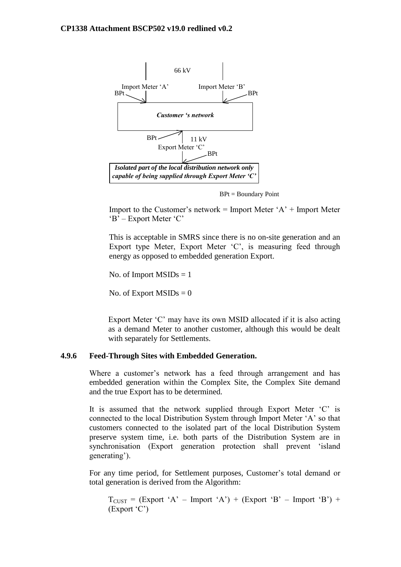

BPt = Boundary Point

Import to the Customer's network = Import Meter ' $A$ ' + Import Meter 'B' – Export Meter 'C'

This is acceptable in SMRS since there is no on-site generation and an Export type Meter, Export Meter 'C', is measuring feed through energy as opposed to embedded generation Export.

No. of Import  $MSIDs = 1$ 

No. of Export  $MSIDs = 0$ 

Export Meter 'C' may have its own MSID allocated if it is also acting as a demand Meter to another customer, although this would be dealt with separately for Settlements.

#### **4.9.6 Feed-Through Sites with Embedded Generation.**

Where a customer's network has a feed through arrangement and has embedded generation within the Complex Site, the Complex Site demand and the true Export has to be determined.

It is assumed that the network supplied through Export Meter 'C' is connected to the local Distribution System through Import Meter 'A' so that customers connected to the isolated part of the local Distribution System preserve system time, i.e. both parts of the Distribution System are in synchronisation (Export generation protection shall prevent 'island generating').

For any time period, for Settlement purposes, Customer's total demand or total generation is derived from the Algorithm:

 $T<sub>CUST</sub> = (Expert 'A' - Import 'A') + (Expert 'B' - Import 'B') +$ (Export 'C')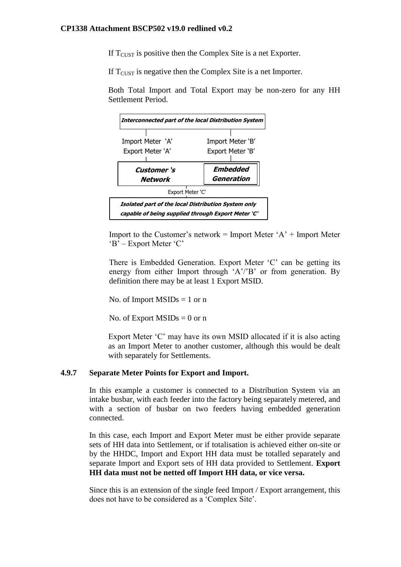If  $T<sub>CUST</sub>$  is positive then the Complex Site is a net Exporter.

If  $T<sub>CIIST</sub>$  is negative then the Complex Site is a net Importer.

Both Total Import and Total Export may be non-zero for any HH Settlement Period.



Import to the Customer's network  $=$  Import Meter 'A' + Import Meter 'B' – Export Meter 'C'

There is Embedded Generation. Export Meter 'C' can be getting its energy from either Import through 'A'/'B' or from generation. By definition there may be at least 1 Export MSID.

No. of Import  $MSIDs = 1$  or n

No. of Export  $MSIDs = 0$  or n

Export Meter 'C' may have its own MSID allocated if it is also acting as an Import Meter to another customer, although this would be dealt with separately for Settlements.

## **4.9.7 Separate Meter Points for Export and Import.**

In this example a customer is connected to a Distribution System via an intake busbar, with each feeder into the factory being separately metered, and with a section of busbar on two feeders having embedded generation connected.

In this case, each Import and Export Meter must be either provide separate sets of HH data into Settlement, or if totalisation is achieved either on-site or by the HHDC, Import and Export HH data must be totalled separately and separate Import and Export sets of HH data provided to Settlement. **Export HH data must not be netted off Import HH data, or vice versa.**

Since this is an extension of the single feed Import / Export arrangement, this does not have to be considered as a 'Complex Site'.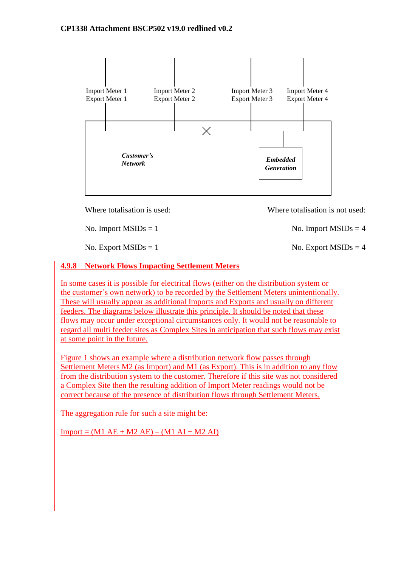

Where totalisation is used: Where totalisation is not used:

# **4.9.8 Network Flows Impacting Settlement Meters**

In some cases it is possible for electrical flows (either on the distribution system or the customer's own network) to be recorded by the Settlement Meters unintentionally. These will usually appear as additional Imports and Exports and usually on different feeders. The diagrams below illustrate this principle. It should be noted that these flows may occur under exceptional circumstances only. It would not be reasonable to regard all multi feeder sites as Complex Sites in anticipation that such flows may exist at some point in the future.

Figure 1 shows an example where a distribution network flow passes through Settlement Meters M2 (as Import) and M1 (as Export). This is in addition to any flow from the distribution system to the customer. Therefore if this site was not considered a Complex Site then the resulting addition of Import Meter readings would not be correct because of the presence of distribution flows through Settlement Meters.

The aggregation rule for such a site might be:

 $Import = (M1 AE + M2 AE) - (M1 AI + M2 AI)$ 

No. Import  $MSIDs = 1$  No. Import  $MSIDs = 4$ 

No. Export  $MSIDs = 1$  No. Export  $MSIDs = 4$